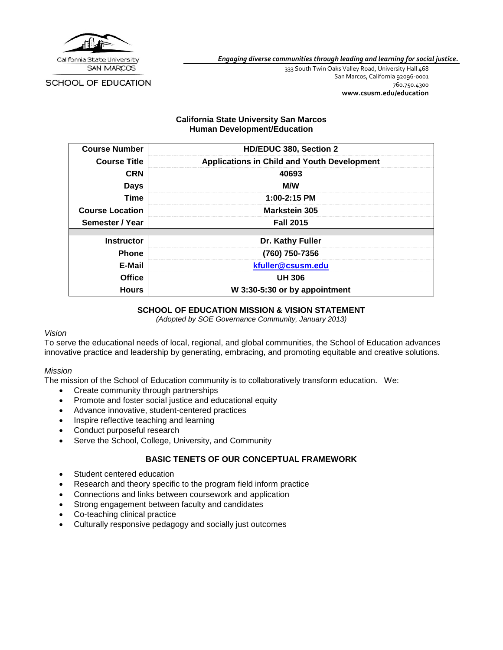

*Engaging diverse communities through leading and learning for social justice.*

SCHOOL OF EDUCATION

333 South Twin Oaks Valley Road, University Hall 468 San Marcos, California 92096-0001 760.750.4300 **[www.csusm.edu/education](http://www.csusm.edu/education)**

## **California State University San Marcos Human Development/Education**

| <b>Course Number</b>   | HD/EDUC 380, Section 2                             |
|------------------------|----------------------------------------------------|
| <b>Course Title</b>    | <b>Applications in Child and Youth Development</b> |
| <b>CRN</b>             | 40693                                              |
| <b>Days</b>            | <b>M/W</b>                                         |
| Time                   | 1:00-2:15 PM                                       |
| <b>Course Location</b> | <b>Markstein 305</b>                               |
| Semester / Year        | <b>Fall 2015</b>                                   |
|                        |                                                    |
| <b>Instructor</b>      | Dr. Kathy Fuller                                   |
| <b>Phone</b>           | (760) 750-7356                                     |
| E-Mail                 | kfuller@csusm.edu                                  |
| <b>Office</b>          | <b>UH 306</b>                                      |
| <b>Hours</b>           | W 3:30-5:30 or by appointment                      |

## **SCHOOL OF EDUCATION MISSION & VISION STATEMENT**

*(Adopted by SOE Governance Community, January 2013)*

#### *Vision*

To serve the educational needs of local, regional, and global communities, the School of Education advances innovative practice and leadership by generating, embracing, and promoting equitable and creative solutions.

#### *Mission*

The mission of the School of Education community is to collaboratively transform education. We:

- Create community through partnerships
- Promote and foster social justice and educational equity
- Advance innovative, student-centered practices
- Inspire reflective teaching and learning
- Conduct purposeful research
- Serve the School, College, University, and Community

#### **BASIC TENETS OF OUR CONCEPTUAL FRAMEWORK**

- Student centered education
- Research and theory specific to the program field inform practice
- Connections and links between coursework and application
- Strong engagement between faculty and candidates
- Co-teaching clinical practice
- Culturally responsive pedagogy and socially just outcomes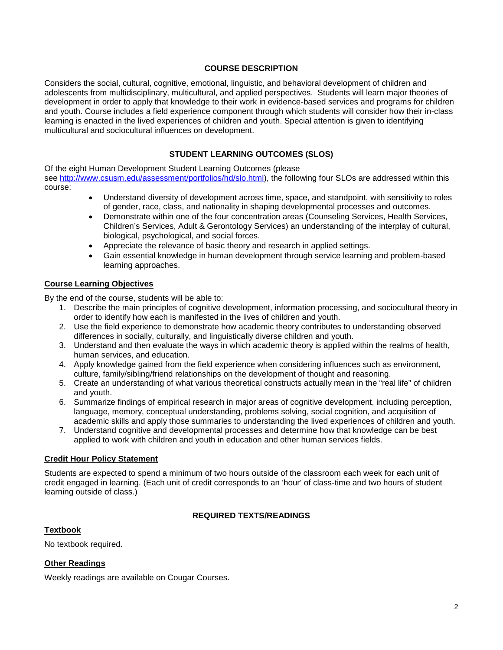## **COURSE DESCRIPTION**

Considers the social, cultural, cognitive, emotional, linguistic, and behavioral development of children and adolescents from multidisciplinary, multicultural, and applied perspectives. Students will learn major theories of development in order to apply that knowledge to their work in evidence-based services and programs for children and youth. Course includes a field experience component through which students will consider how their in-class learning is enacted in the lived experiences of children and youth. Special attention is given to identifying multicultural and sociocultural influences on development.

# **STUDENT LEARNING OUTCOMES (SLOS)**

Of the eight Human Development Student Learning Outcomes (please see [http://www.csusm.edu/assessment/portfolios/hd/slo.html\)](http://www.csusm.edu/assessment/portfolios/hd/slo.html), the following four SLOs are addressed within this course:

- Understand diversity of development across time, space, and standpoint, with sensitivity to roles of gender, race, class, and nationality in shaping developmental processes and outcomes.
- Demonstrate within one of the four concentration areas (Counseling Services, Health Services, Children's Services, Adult & Gerontology Services) an understanding of the interplay of cultural, biological, psychological, and social forces.
- Appreciate the relevance of basic theory and research in applied settings.
- Gain essential knowledge in human development through service learning and problem-based learning approaches.

## **Course Learning Objectives**

By the end of the course, students will be able to:

- 1. Describe the main principles of cognitive development, information processing, and sociocultural theory in order to identify how each is manifested in the lives of children and youth.
- 2. Use the field experience to demonstrate how academic theory contributes to understanding observed differences in socially, culturally, and linguistically diverse children and youth.
- 3. Understand and then evaluate the ways in which academic theory is applied within the realms of health, human services, and education.
- 4. Apply knowledge gained from the field experience when considering influences such as environment, culture, family/sibling/friend relationships on the development of thought and reasoning.
- 5. Create an understanding of what various theoretical constructs actually mean in the "real life" of children and youth.
- 6. Summarize findings of empirical research in major areas of cognitive development, including perception, language, memory, conceptual understanding, problems solving, social cognition, and acquisition of academic skills and apply those summaries to understanding the lived experiences of children and youth.
- 7. Understand cognitive and developmental processes and determine how that knowledge can be best applied to work with children and youth in education and other human services fields.

## **Credit Hour Policy Statement**

Students are expected to spend a minimum of two hours outside of the classroom each week for each unit of credit engaged in learning. (Each unit of credit corresponds to an 'hour' of class-time and two hours of student learning outside of class.)

## **REQUIRED TEXTS/READINGS**

## **Textbook**

No textbook required.

## **Other Readings**

Weekly readings are available on Cougar Courses.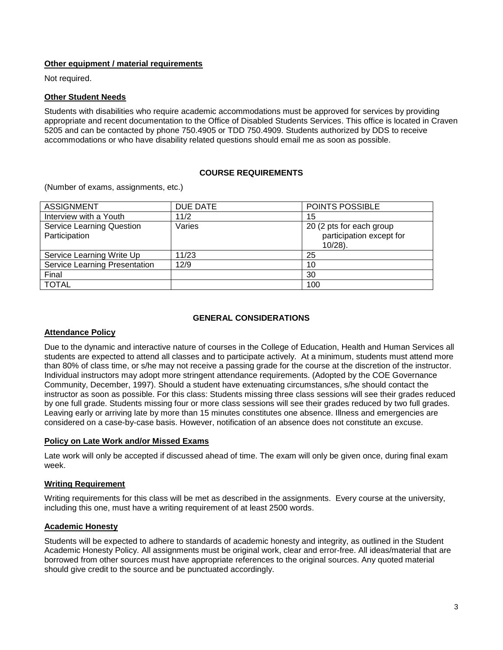## **Other equipment / material requirements**

Not required.

## **Other Student Needs**

Students with disabilities who require academic accommodations must be approved for services by providing appropriate and recent documentation to the Office of Disabled Students Services. This office is located in Craven 5205 and can be contacted by phone 750.4905 or TDD 750.4909. Students authorized by DDS to receive accommodations or who have disability related questions should email me as soon as possible.

## **COURSE REQUIREMENTS**

(Number of exams, assignments, etc.)

| <b>ASSIGNMENT</b>                                 | DUE DATE | POINTS POSSIBLE                                                    |
|---------------------------------------------------|----------|--------------------------------------------------------------------|
| Interview with a Youth                            | 11/2     | 15                                                                 |
| <b>Service Learning Question</b><br>Participation | Varies   | 20 (2 pts for each group<br>participation except for<br>$10/28$ ). |
| Service Learning Write Up                         | 11/23    | 25                                                                 |
| Service Learning Presentation                     | 12/9     | 10                                                                 |
| Final                                             |          | 30                                                                 |
| <b>TOTAL</b>                                      |          | 100                                                                |

## **GENERAL CONSIDERATIONS**

## **Attendance Policy**

Due to the dynamic and interactive nature of courses in the College of Education, Health and Human Services all students are expected to attend all classes and to participate actively. At a minimum, students must attend more than 80% of class time, or s/he may not receive a passing grade for the course at the discretion of the instructor. Individual instructors may adopt more stringent attendance requirements. (Adopted by the COE Governance Community, December, 1997). Should a student have extenuating circumstances, s/he should contact the instructor as soon as possible. For this class: Students missing three class sessions will see their grades reduced by one full grade. Students missing four or more class sessions will see their grades reduced by two full grades. Leaving early or arriving late by more than 15 minutes constitutes one absence. Illness and emergencies are considered on a case-by-case basis. However, notification of an absence does not constitute an excuse.

## **Policy on Late Work and/or Missed Exams**

Late work will only be accepted if discussed ahead of time. The exam will only be given once, during final exam week.

## **Writing Requirement**

Writing requirements for this class will be met as described in the assignments. Every course at the university, including this one, must have a writing requirement of at least 2500 words.

## **Academic Honesty**

Students will be expected to adhere to standards of academic honesty and integrity, as outlined in the Student Academic Honesty Policy. All assignments must be original work, clear and error-free. All ideas/material that are borrowed from other sources must have appropriate references to the original sources. Any quoted material should give credit to the source and be punctuated accordingly.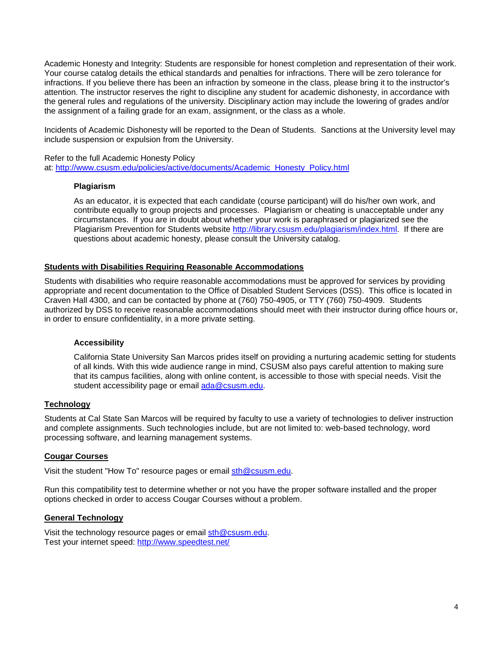Academic Honesty and Integrity: Students are responsible for honest completion and representation of their work. Your course catalog details the ethical standards and penalties for infractions. There will be zero tolerance for infractions. If you believe there has been an infraction by someone in the class, please bring it to the instructor's attention. The instructor reserves the right to discipline any student for academic dishonesty, in accordance with the general rules and regulations of the university. Disciplinary action may include the lowering of grades and/or the assignment of a failing grade for an exam, assignment, or the class as a whole.

Incidents of Academic Dishonesty will be reported to the Dean of Students. Sanctions at the University level may include suspension or expulsion from the University.

Refer to the full Academic Honesty Policy at: [http://www.csusm.edu/policies/active/documents/Academic\\_Honesty\\_Policy.html](http://www.csusm.edu/policies/active/documents/Academic_Honesty_Policy.html)

## **Plagiarism**

As an educator, it is expected that each candidate (course participant) will do his/her own work, and contribute equally to group projects and processes. Plagiarism or cheating is unacceptable under any circumstances. If you are in doubt about whether your work is paraphrased or plagiarized see the Plagiarism Prevention for Students website [http://library.csusm.edu/plagiarism/index.html.](http://library.csusm.edu/plagiarism/index.html) If there are questions about academic honesty, please consult the University catalog.

## **Students with Disabilities Requiring Reasonable Accommodations**

Students with disabilities who require reasonable accommodations must be approved for services by providing appropriate and recent documentation to the Office of Disabled Student Services (DSS). This office is located in Craven Hall 4300, and can be contacted by phone at (760) 750-4905, or TTY (760) 750-4909. Students authorized by DSS to receive reasonable accommodations should meet with their instructor during office hours or, in order to ensure confidentiality, in a more private setting.

#### **Accessibility**

California State University San Marcos prides itself on providing a nurturing academic setting for students of all kinds. With this wide audience range in mind, CSUSM also pays careful attention to making sure that its campus facilities, along with online content, is accessible to those with special needs. Visit the student accessibility page or email [ada@csusm.edu.](mailto:ada@csusm.edu)

## **Technology**

Students at Cal State San Marcos will be required by faculty to use a variety of technologies to deliver instruction and complete assignments. Such technologies include, but are not limited to: web-based technology, word processing software, and learning management systems.

#### **Cougar Courses**

Visit the student "How To" resource pages or email [sth@csusm.edu.](mailto:sth@csusm.edu)

Run this compatibility test to determine whether or not you have the proper software installed and the proper options checked in order to access Cougar Courses without a problem.

#### **General Technology**

Visit the technology resource pages or email [sth@csusm.edu.](mailto:sth@csusm.edu) Test your internet speed:<http://www.speedtest.net/>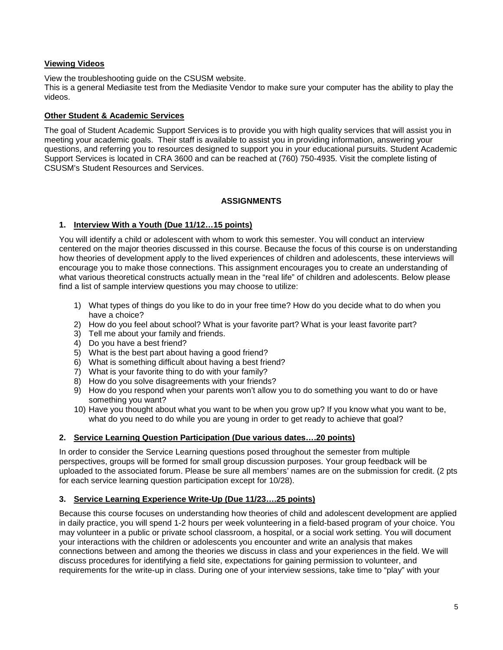## **Viewing Videos**

View the troubleshooting guide on the CSUSM website.

This is a general Mediasite test from the Mediasite Vendor to make sure your computer has the ability to play the videos.

## **Other Student & Academic Services**

The goal of Student Academic Support Services is to provide you with high quality services that will assist you in meeting your academic goals. Their staff is available to assist you in providing information, answering your questions, and referring you to resources designed to support you in your educational pursuits. Student Academic Support Services is located in CRA 3600 and can be reached at (760) 750-4935. Visit the complete listing of CSUSM's Student Resources and Services.

# **ASSIGNMENTS**

## **1. Interview With a Youth (Due 11/12…15 points)**

You will identify a child or adolescent with whom to work this semester. You will conduct an interview centered on the major theories discussed in this course. Because the focus of this course is on understanding how theories of development apply to the lived experiences of children and adolescents, these interviews will encourage you to make those connections. This assignment encourages you to create an understanding of what various theoretical constructs actually mean in the "real life" of children and adolescents. Below please find a list of sample interview questions you may choose to utilize:

- 1) What types of things do you like to do in your free time? How do you decide what to do when you have a choice?
- 2) How do you feel about school? What is your favorite part? What is your least favorite part?
- 3) Tell me about your family and friends.
- 4) Do you have a best friend?
- 5) What is the best part about having a good friend?
- 6) What is something difficult about having a best friend?
- 7) What is your favorite thing to do with your family?
- 8) How do you solve disagreements with your friends?
- 9) How do you respond when your parents won't allow you to do something you want to do or have something you want?
- 10) Have you thought about what you want to be when you grow up? If you know what you want to be, what do you need to do while you are young in order to get ready to achieve that goal?

## **2. Service Learning Question Participation (Due various dates….20 points)**

In order to consider the Service Learning questions posed throughout the semester from multiple perspectives, groups will be formed for small group discussion purposes. Your group feedback will be uploaded to the associated forum. Please be sure all members' names are on the submission for credit. (2 pts for each service learning question participation except for 10/28).

## **3. Service Learning Experience Write-Up (Due 11/23….25 points)**

Because this course focuses on understanding how theories of child and adolescent development are applied in daily practice, you will spend 1-2 hours per week volunteering in a field-based program of your choice. You may volunteer in a public or private school classroom, a hospital, or a social work setting. You will document your interactions with the children or adolescents you encounter and write an analysis that makes connections between and among the theories we discuss in class and your experiences in the field. We will discuss procedures for identifying a field site, expectations for gaining permission to volunteer, and requirements for the write-up in class. During one of your interview sessions, take time to "play" with your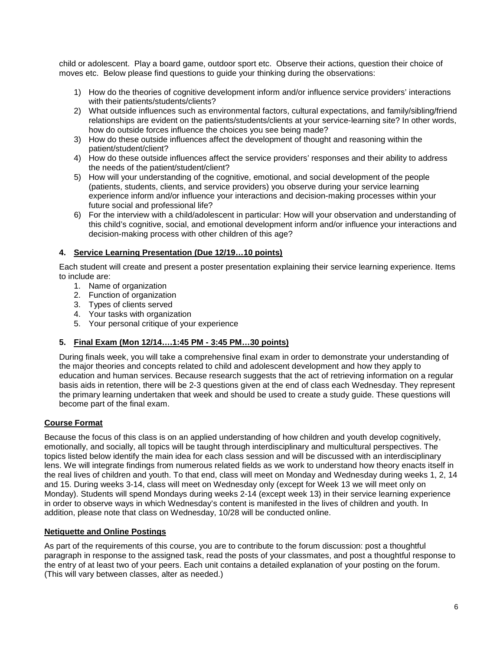child or adolescent. Play a board game, outdoor sport etc. Observe their actions, question their choice of moves etc. Below please find questions to guide your thinking during the observations:

- 1) How do the theories of cognitive development inform and/or influence service providers' interactions with their patients/students/clients?
- 2) What outside influences such as environmental factors, cultural expectations, and family/sibling/friend relationships are evident on the patients/students/clients at your service-learning site? In other words, how do outside forces influence the choices you see being made?
- 3) How do these outside influences affect the development of thought and reasoning within the patient/student/client?
- 4) How do these outside influences affect the service providers' responses and their ability to address the needs of the patient/student/client?
- 5) How will your understanding of the cognitive, emotional, and social development of the people (patients, students, clients, and service providers) you observe during your service learning experience inform and/or influence your interactions and decision-making processes within your future social and professional life?
- 6) For the interview with a child/adolescent in particular: How will your observation and understanding of this child's cognitive, social, and emotional development inform and/or influence your interactions and decision-making process with other children of this age?

# **4. Service Learning Presentation (Due 12/19…10 points)**

Each student will create and present a poster presentation explaining their service learning experience. Items to include are:

- 1. Name of organization
- 2. Function of organization
- 3. Types of clients served
- 4. Your tasks with organization
- 5. Your personal critique of your experience

# **5. Final Exam (Mon 12/14….1:45 PM - 3:45 PM…30 points)**

During finals week, you will take a comprehensive final exam in order to demonstrate your understanding of the major theories and concepts related to child and adolescent development and how they apply to education and human services. Because research suggests that the act of retrieving information on a regular basis aids in retention, there will be 2-3 questions given at the end of class each Wednesday. They represent the primary learning undertaken that week and should be used to create a study guide. These questions will become part of the final exam.

# **Course Format**

Because the focus of this class is on an applied understanding of how children and youth develop cognitively, emotionally, and socially, all topics will be taught through interdisciplinary and multicultural perspectives. The topics listed below identify the main idea for each class session and will be discussed with an interdisciplinary lens. We will integrate findings from numerous related fields as we work to understand how theory enacts itself in the real lives of children and youth. To that end, class will meet on Monday and Wednesday during weeks 1, 2, 14 and 15. During weeks 3-14, class will meet on Wednesday only (except for Week 13 we will meet only on Monday). Students will spend Mondays during weeks 2-14 (except week 13) in their service learning experience in order to observe ways in which Wednesday's content is manifested in the lives of children and youth. In addition, please note that class on Wednesday, 10/28 will be conducted online.

# **Netiquette and Online Postings**

As part of the requirements of this course, you are to contribute to the forum discussion: post a thoughtful paragraph in response to the assigned task, read the posts of your classmates, and post a thoughtful response to the entry of at least two of your peers. Each unit contains a detailed explanation of your posting on the forum. (This will vary between classes, alter as needed.)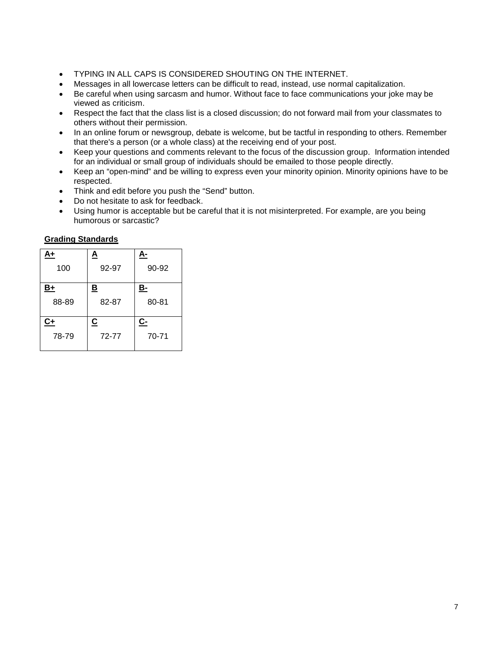- TYPING IN ALL CAPS IS CONSIDERED SHOUTING ON THE INTERNET.
- Messages in all lowercase letters can be difficult to read, instead, use normal capitalization.
- Be careful when using sarcasm and humor. Without face to face communications your joke may be viewed as criticism.
- Respect the fact that the class list is a closed discussion; do not forward mail from your classmates to others without their permission.
- In an online forum or newsgroup, debate is welcome, but be tactful in responding to others. Remember that there's a person (or a whole class) at the receiving end of your post.
- Keep your questions and comments relevant to the focus of the discussion group. Information intended for an individual or small group of individuals should be emailed to those people directly.
- Keep an "open-mind" and be willing to express even your minority opinion. Minority opinions have to be respected.
- Think and edit before you push the "Send" button.
- Do not hesitate to ask for feedback.
- Using humor is acceptable but be careful that it is not misinterpreted. For example, are you being humorous or sarcastic?

## **Grading Standards**

| А+        | <u>A</u>                 |           |  |
|-----------|--------------------------|-----------|--|
| 100       | 92-97                    | 90-92     |  |
| <u>B+</u> | <u>B</u>                 | <u>B-</u> |  |
| 88-89     | 82-87                    | 80-81     |  |
| $C+$      | $\underline{\mathbf{c}}$ | C-        |  |
| 78-79     | 72-77                    | 70-71     |  |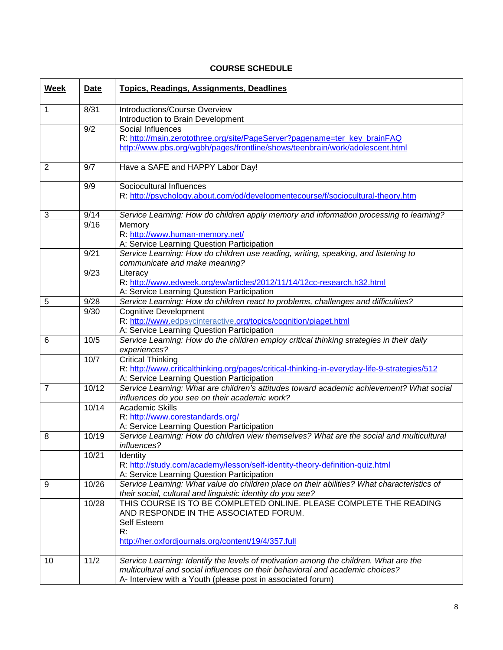# **COURSE SCHEDULE**

| <b>Week</b>    | Date              | <b>Topics, Readings, Assignments, Deadlines</b>                                                                                           |
|----------------|-------------------|-------------------------------------------------------------------------------------------------------------------------------------------|
| 1              | 8/31              | Introductions/Course Overview                                                                                                             |
|                |                   | Introduction to Brain Development                                                                                                         |
|                | $\overline{9/2}$  | Social Influences                                                                                                                         |
|                |                   | R: http://main.zerotothree.org/site/PageServer?pagename=ter_key_brainFAQ                                                                  |
|                |                   | http://www.pbs.org/wgbh/pages/frontline/shows/teenbrain/work/adolescent.html                                                              |
| $\overline{2}$ | 9/7               | Have a SAFE and HAPPY Labor Day!                                                                                                          |
|                | 9/9               | Sociocultural Influences                                                                                                                  |
|                |                   | R: http://psychology.about.com/od/developmentecourse/f/sociocultural-theory.htm                                                           |
| 3              | 9/14              | Service Learning: How do children apply memory and information processing to learning?                                                    |
|                | 9/16              | Memory                                                                                                                                    |
|                |                   | R: http://www.human-memory.net/                                                                                                           |
|                |                   | A: Service Learning Question Participation                                                                                                |
|                | $\overline{9/2}1$ | Service Learning: How do children use reading, writing, speaking, and listening to                                                        |
|                | 9/23              | communicate and make meaning?                                                                                                             |
|                |                   | Literacy<br>R: http://www.edweek.org/ew/articles/2012/11/14/12cc-research.h32.html                                                        |
|                |                   | A: Service Learning Question Participation                                                                                                |
| 5              | $\overline{9/28}$ | Service Learning: How do children react to problems, challenges and difficulties?                                                         |
|                | 9/30              | <b>Cognitive Development</b>                                                                                                              |
|                |                   | R: http://www.edpsycinteractive.org/topics/cognition/piaget.html                                                                          |
|                |                   | A: Service Learning Question Participation                                                                                                |
| 6              | 10/5              | Service Learning: How do the children employ critical thinking strategies in their daily                                                  |
|                |                   | experiences?                                                                                                                              |
|                | 10/7              | <b>Critical Thinking</b>                                                                                                                  |
|                |                   | R: http://www.criticalthinking.org/pages/critical-thinking-in-everyday-life-9-strategies/512                                              |
|                |                   | A: Service Learning Question Participation                                                                                                |
| $\overline{7}$ | 10/12             | Service Learning: What are children's attitudes toward academic achievement? What social<br>influences do you see on their academic work? |
|                | 10/14             | <b>Academic Skills</b>                                                                                                                    |
|                |                   | R: http://www.corestandards.org/                                                                                                          |
|                |                   | A: Service Learning Question Participation                                                                                                |
| 8              | 10/19             | Service Learning: How do children view themselves? What are the social and multicultural                                                  |
|                |                   | influences?                                                                                                                               |
|                | 10/21             | Identity                                                                                                                                  |
|                |                   | R: http://study.com/academy/lesson/self-identity-theory-definition-quiz.html<br>A: Service Learning Question Participation                |
| 9              | 10/26             | Service Learning: What value do children place on their abilities? What characteristics of                                                |
|                |                   | their social, cultural and linguistic identity do you see?                                                                                |
|                | 10/28             | THIS COURSE IS TO BE COMPLETED ONLINE, PLEASE COMPLETE THE READING                                                                        |
|                |                   | AND RESPONDE IN THE ASSOCIATED FORUM.                                                                                                     |
|                |                   | Self Esteem                                                                                                                               |
|                |                   | R:                                                                                                                                        |
|                |                   | http://her.oxfordjournals.org/content/19/4/357.full                                                                                       |
| 10             | 11/2              | Service Learning: Identify the levels of motivation among the children. What are the                                                      |
|                |                   | multicultural and social influences on their behavioral and academic choices?                                                             |
|                |                   | A- Interview with a Youth (please post in associated forum)                                                                               |